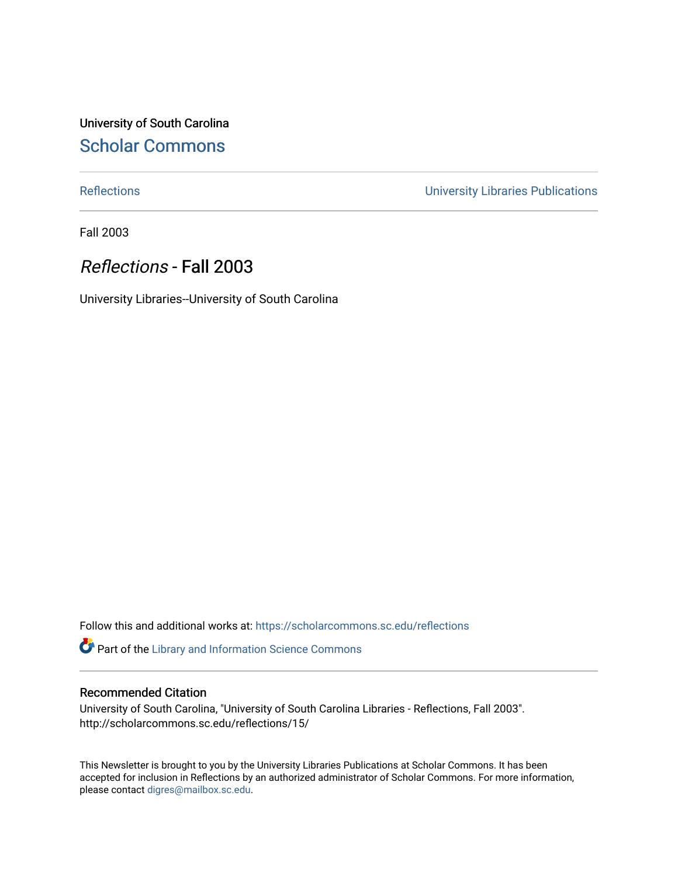University of South Carolina [Scholar Commons](https://scholarcommons.sc.edu/) 

[Reflections](https://scholarcommons.sc.edu/reflections) [University Libraries Publications](https://scholarcommons.sc.edu/lib_pubs) 

Fall 2003

## Reflections - Fall 2003

University Libraries--University of South Carolina

Follow this and additional works at: [https://scholarcommons.sc.edu/reflections](https://scholarcommons.sc.edu/reflections?utm_source=scholarcommons.sc.edu%2Freflections%2F15&utm_medium=PDF&utm_campaign=PDFCoverPages) 

Part of the [Library and Information Science Commons](http://network.bepress.com/hgg/discipline/1018?utm_source=scholarcommons.sc.edu%2Freflections%2F15&utm_medium=PDF&utm_campaign=PDFCoverPages) 

## Recommended Citation

University of South Carolina, "University of South Carolina Libraries - Reflections, Fall 2003". http://scholarcommons.sc.edu/reflections/15/

This Newsletter is brought to you by the University Libraries Publications at Scholar Commons. It has been accepted for inclusion in Reflections by an authorized administrator of Scholar Commons. For more information, please contact [digres@mailbox.sc.edu](mailto:digres@mailbox.sc.edu).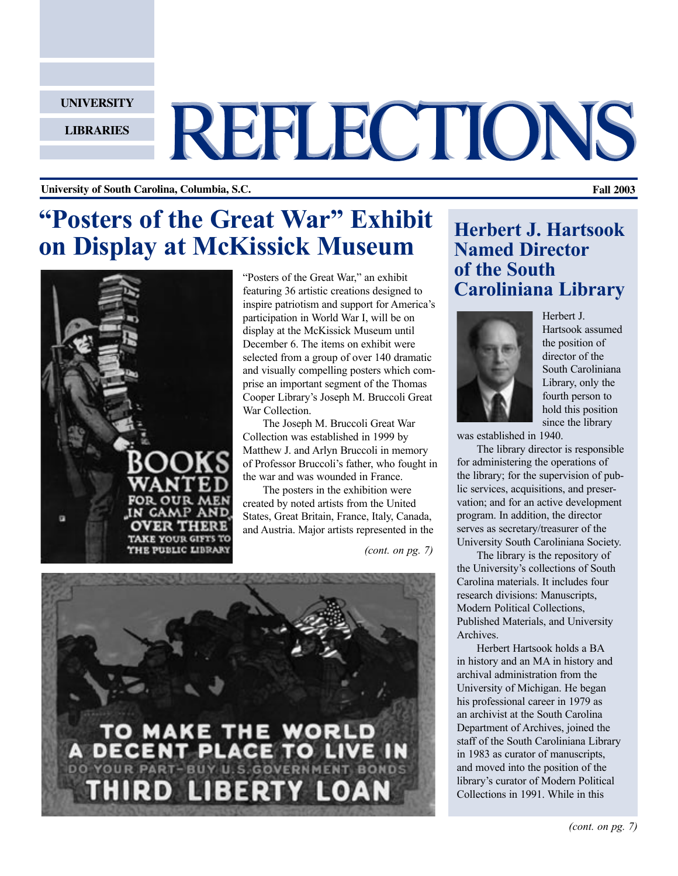**UNIVERSITY**

**LIBRARIES**

# REFLECTIONS

## **University of South Carolina, Columbia, S.C. Fall 2003**

# **"Posters of the Great War" Exhibit on Display at McKissick Museum**



"Posters of the Great War," an exhibit featuring 36 artistic creations designed to inspire patriotism and support for America's participation in World War I, will be on display at the McKissick Museum until December 6. The items on exhibit were selected from a group of over 140 dramatic and visually compelling posters which comprise an important segment of the Thomas Cooper Library's Joseph M. Bruccoli Great War Collection.

The Joseph M. Bruccoli Great War Collection was established in 1999 by Matthew J. and Arlyn Bruccoli in memory of Professor Bruccoli's father, who fought in the war and was wounded in France.

The posters in the exhibition were created by noted artists from the United States, Great Britain, France, Italy, Canada, and Austria. Major artists represented in the

*(cont. on pg. 7)*



# **Herbert J. Hartsook Named Director of the South Caroliniana Library**



Herbert J. Hartsook assumed the position of director of the South Caroliniana Library, only the fourth person to hold this position since the library

was established in 1940.

The library director is responsible for administering the operations of the library; for the supervision of public services, acquisitions, and preservation; and for an active development program. In addition, the director serves as secretary/treasurer of the University South Caroliniana Society.

The library is the repository of the University's collections of South Carolina materials. It includes four research divisions: Manuscripts, Modern Political Collections, Published Materials, and University Archives.

Herbert Hartsook holds a BA in history and an MA in history and archival administration from the University of Michigan. He began his professional career in 1979 as an archivist at the South Carolina Department of Archives, joined the staff of the South Caroliniana Library in 1983 as curator of manuscripts, and moved into the position of the library's curator of Modern Political Collections in 1991. While in this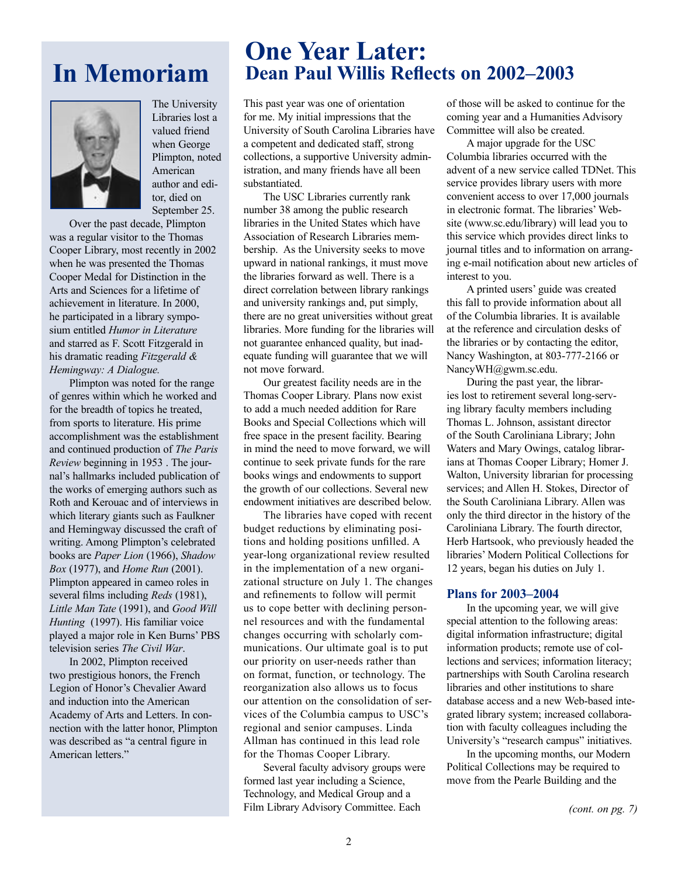# **In Memoriam**



The University Libraries lost a valued friend when George Plimpton, noted American author and editor, died on September 25.

Over the past decade, Plimpton was a regular visitor to the Thomas Cooper Library, most recently in 2002 when he was presented the Thomas Cooper Medal for Distinction in the Arts and Sciences for a lifetime of achievement in literature. In 2000, he participated in a library symposium entitled *Humor in Literature* and starred as F. Scott Fitzgerald in his dramatic reading *Fitzgerald & Hemingway: A Dialogue.*

Plimpton was noted for the range of genres within which he worked and for the breadth of topics he treated, from sports to literature. His prime accomplishment was the establishment and continued production of *The Paris Review* beginning in 1953 . The journal's hallmarks included publication of the works of emerging authors such as Roth and Kerouac and of interviews in which literary giants such as Faulkner and Hemingway discussed the craft of writing. Among Plimpton's celebrated books are *Paper Lion* (1966), *Shadow Box* (1977), and *Home Run* (2001). Plimpton appeared in cameo roles in several films including *Reds* (1981), *Little Man Tate* (1991), and *Good Will Hunting* (1997). His familiar voice played a major role in Ken Burns' PBS television series *The Civil War*.

In 2002, Plimpton received two prestigious honors, the French Legion of Honor's Chevalier Award and induction into the American Academy of Arts and Letters. In connection with the latter honor, Plimpton was described as "a central figure in American letters<sup>"</sup>

# **One Year Later: Dean Paul Willis Reflects on 2002–2003**

This past year was one of orientation for me. My initial impressions that the University of South Carolina Libraries have a competent and dedicated staff, strong collections, a supportive University administration, and many friends have all been substantiated.

The USC Libraries currently rank number 38 among the public research libraries in the United States which have Association of Research Libraries membership. As the University seeks to move upward in national rankings, it must move the libraries forward as well. There is a direct correlation between library rankings and university rankings and, put simply, there are no great universities without great libraries. More funding for the libraries will not guarantee enhanced quality, but inadequate funding will guarantee that we will not move forward.

Our greatest facility needs are in the Thomas Cooper Library. Plans now exist to add a much needed addition for Rare Books and Special Collections which will free space in the present facility. Bearing in mind the need to move forward, we will continue to seek private funds for the rare books wings and endowments to support the growth of our collections. Several new endowment initiatives are described below.

The libraries have coped with recent budget reductions by eliminating positions and holding positions unfilled. A year-long organizational review resulted in the implementation of a new organizational structure on July 1. The changes and refinements to follow will permit us to cope better with declining personnel resources and with the fundamental changes occurring with scholarly communications. Our ultimate goal is to put our priority on user-needs rather than on format, function, or technology. The reorganization also allows us to focus our attention on the consolidation of services of the Columbia campus to USC's regional and senior campuses. Linda Allman has continued in this lead role for the Thomas Cooper Library.

Several faculty advisory groups were formed last year including a Science, Technology, and Medical Group and a Film Library Advisory Committee. Each

of those will be asked to continue for the coming year and a Humanities Advisory Committee will also be created.

A major upgrade for the USC Columbia libraries occurred with the advent of a new service called TDNet. This service provides library users with more convenient access to over 17,000 journals in electronic format. The libraries' Website (www.sc.edu/library) will lead you to this service which provides direct links to journal titles and to information on arranging e-mail notification about new articles of interest to you.

A printed users' guide was created this fall to provide information about all of the Columbia libraries. It is available at the reference and circulation desks of the libraries or by contacting the editor, Nancy Washington, at 803-777-2166 or NancyWH@gwm.sc.edu.

During the past year, the libraries lost to retirement several long-serving library faculty members including Thomas L. Johnson, assistant director of the South Caroliniana Library; John Waters and Mary Owings, catalog librarians at Thomas Cooper Library; Homer J. Walton, University librarian for processing services; and Allen H. Stokes, Director of the South Caroliniana Library. Allen was only the third director in the history of the Caroliniana Library. The fourth director, Herb Hartsook, who previously headed the libraries' Modern Political Collections for 12 years, began his duties on July 1.

## **Plans for 2003–2004**

In the upcoming year, we will give special attention to the following areas: digital information infrastructure; digital information products; remote use of collections and services; information literacy; partnerships with South Carolina research libraries and other institutions to share database access and a new Web-based integrated library system; increased collaboration with faculty colleagues including the University's "research campus" initiatives.

In the upcoming months, our Modern Political Collections may be required to move from the Pearle Building and the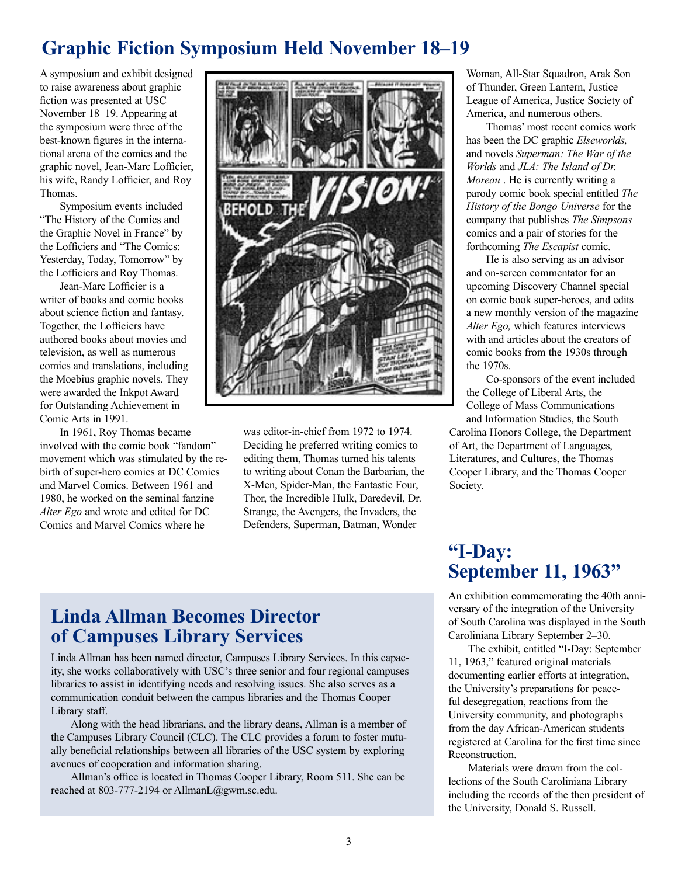# **Graphic Fiction Symposium Held November 18–19**

A symposium and exhibit designed to raise awareness about graphic fiction was presented at USC November 18–19. Appearing at the symposium were three of the best-known figures in the international arena of the comics and the graphic novel, Jean-Marc Lofficier, his wife, Randy Lofficier, and Roy Thomas.

Symposium events included "The History of the Comics and the Graphic Novel in France" by the Lofficiers and "The Comics: Yesterday, Today, Tomorrow" by the Lofficiers and Roy Thomas.

Jean-Marc Lofficier is a writer of books and comic books about science fiction and fantasy. Together, the Lofficiers have authored books about movies and television, as well as numerous comics and translations, including the Moebius graphic novels. They were awarded the Inkpot Award for Outstanding Achievement in Comic Arts in 1991.

In 1961, Roy Thomas became involved with the comic book "fandom" movement which was stimulated by the rebirth of super-hero comics at DC Comics and Marvel Comics. Between 1961 and 1980, he worked on the seminal fanzine *Alter Ego* and wrote and edited for DC Comics and Marvel Comics where he



was editor-in-chief from 1972 to 1974. Deciding he preferred writing comics to editing them, Thomas turned his talents to writing about Conan the Barbarian, the X-Men, Spider-Man, the Fantastic Four, Thor, the Incredible Hulk, Daredevil, Dr. Strange, the Avengers, the Invaders, the Defenders, Superman, Batman, Wonder

Woman, All-Star Squadron, Arak Son of Thunder, Green Lantern, Justice League of America, Justice Society of America, and numerous others.

Thomas' most recent comics work has been the DC graphic *Elseworlds,*  and novels *Superman: The War of the Worlds* and *JLA: The Island of Dr. Moreau* . He is currently writing a parody comic book special entitled *The History of the Bongo Universe* for the company that publishes *The Simpsons*  comics and a pair of stories for the forthcoming *The Escapist* comic.

He is also serving as an advisor and on-screen commentator for an upcoming Discovery Channel special on comic book super-heroes, and edits a new monthly version of the magazine *Alter Ego,* which features interviews with and articles about the creators of comic books from the 1930s through the 1970s.

Co-sponsors of the event included the College of Liberal Arts, the College of Mass Communications and Information Studies, the South Carolina Honors College, the Department of Art, the Department of Languages, Literatures, and Cultures, the Thomas

Cooper Library, and the Thomas Cooper Society.

## **"I-Day: September 11, 1963"**

An exhibition commemorating the 40th anniversary of the integration of the University of South Carolina was displayed in the South Caroliniana Library September 2–30.

The exhibit, entitled "I-Day: September 11, 1963," featured original materials documenting earlier efforts at integration, the University's preparations for peaceful desegregation, reactions from the University community, and photographs from the day African-American students registered at Carolina for the first time since Reconstruction.

Materials were drawn from the collections of the South Caroliniana Library including the records of the then president of the University, Donald S. Russell.

# **Linda Allman Becomes Director of Campuses Library Services**

Linda Allman has been named director, Campuses Library Services. In this capacity, she works collaboratively with USC's three senior and four regional campuses libraries to assist in identifying needs and resolving issues. She also serves as a communication conduit between the campus libraries and the Thomas Cooper Library staff.

Along with the head librarians, and the library deans, Allman is a member of the Campuses Library Council (CLC). The CLC provides a forum to foster mutually beneficial relationships between all libraries of the USC system by exploring avenues of cooperation and information sharing.

Allman's office is located in Thomas Cooper Library, Room 511. She can be reached at 803-777-2194 or AllmanL@gwm.sc.edu.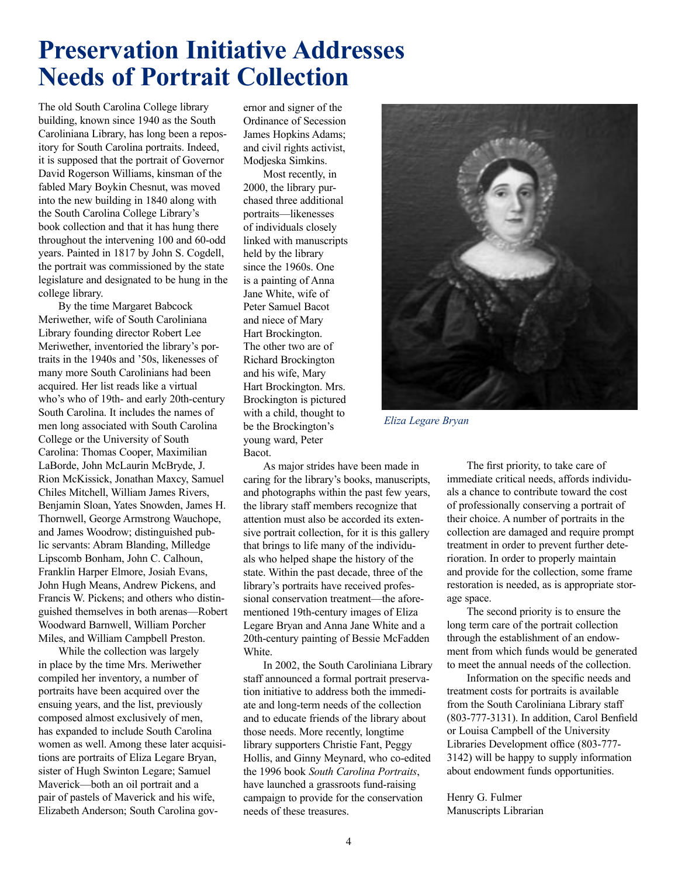# **Preservation Initiative Addresses Needs of Portrait Collection**

The old South Carolina College library building, known since 1940 as the South Caroliniana Library, has long been a repository for South Carolina portraits. Indeed, it is supposed that the portrait of Governor David Rogerson Williams, kinsman of the fabled Mary Boykin Chesnut, was moved into the new building in 1840 along with the South Carolina College Library's book collection and that it has hung there throughout the intervening 100 and 60-odd years. Painted in 1817 by John S. Cogdell, the portrait was commissioned by the state legislature and designated to be hung in the college library.

By the time Margaret Babcock Meriwether, wife of South Caroliniana Library founding director Robert Lee Meriwether, inventoried the library's portraits in the 1940s and '50s, likenesses of many more South Carolinians had been acquired. Her list reads like a virtual who's who of 19th- and early 20th-century South Carolina. It includes the names of men long associated with South Carolina College or the University of South Carolina: Thomas Cooper, Maximilian LaBorde, John McLaurin McBryde, J. Rion McKissick, Jonathan Maxcy, Samuel Chiles Mitchell, William James Rivers, Benjamin Sloan, Yates Snowden, James H. Thornwell, George Armstrong Wauchope, and James Woodrow; distinguished public servants: Abram Blanding, Milledge Lipscomb Bonham, John C. Calhoun, Franklin Harper Elmore, Josiah Evans, John Hugh Means, Andrew Pickens, and Francis W. Pickens; and others who distinguished themselves in both arenas—Robert Woodward Barnwell, William Porcher Miles, and William Campbell Preston.

While the collection was largely in place by the time Mrs. Meriwether compiled her inventory, a number of portraits have been acquired over the ensuing years, and the list, previously composed almost exclusively of men, has expanded to include South Carolina women as well. Among these later acquisitions are portraits of Eliza Legare Bryan, sister of Hugh Swinton Legare; Samuel Maverick—both an oil portrait and a pair of pastels of Maverick and his wife, Elizabeth Anderson; South Carolina governor and signer of the Ordinance of Secession James Hopkins Adams; and civil rights activist, Modjeska Simkins.

Most recently, in 2000, the library purchased three additional portraits—likenesses of individuals closely linked with manuscripts held by the library since the 1960s. One is a painting of Anna Jane White, wife of Peter Samuel Bacot and niece of Mary Hart Brockington. The other two are of Richard Brockington and his wife, Mary Hart Brockington. Mrs. Brockington is pictured with a child, thought to be the Brockington's young ward, Peter Bacot.

As major strides have been made in caring for the library's books, manuscripts, and photographs within the past few years, the library staff members recognize that attention must also be accorded its extensive portrait collection, for it is this gallery that brings to life many of the individuals who helped shape the history of the state. Within the past decade, three of the library's portraits have received professional conservation treatment—the aforementioned 19th-century images of Eliza Legare Bryan and Anna Jane White and a 20th-century painting of Bessie McFadden White.

In 2002, the South Caroliniana Library staff announced a formal portrait preservation initiative to address both the immediate and long-term needs of the collection and to educate friends of the library about those needs. More recently, longtime library supporters Christie Fant, Peggy Hollis, and Ginny Meynard, who co-edited the 1996 book *South Carolina Portraits*, have launched a grassroots fund-raising campaign to provide for the conservation needs of these treasures.



 *Eliza Legare Bryan*

The first priority, to take care of immediate critical needs, affords individuals a chance to contribute toward the cost of professionally conserving a portrait of their choice. A number of portraits in the collection are damaged and require prompt treatment in order to prevent further deterioration. In order to properly maintain and provide for the collection, some frame restoration is needed, as is appropriate storage space.

The second priority is to ensure the long term care of the portrait collection through the establishment of an endowment from which funds would be generated to meet the annual needs of the collection.

Information on the specific needs and treatment costs for portraits is available from the South Caroliniana Library staff (803-777-3131). In addition, Carol Benfield or Louisa Campbell of the University Libraries Development office (803-777- 3142) will be happy to supply information about endowment funds opportunities.

Henry G. Fulmer Manuscripts Librarian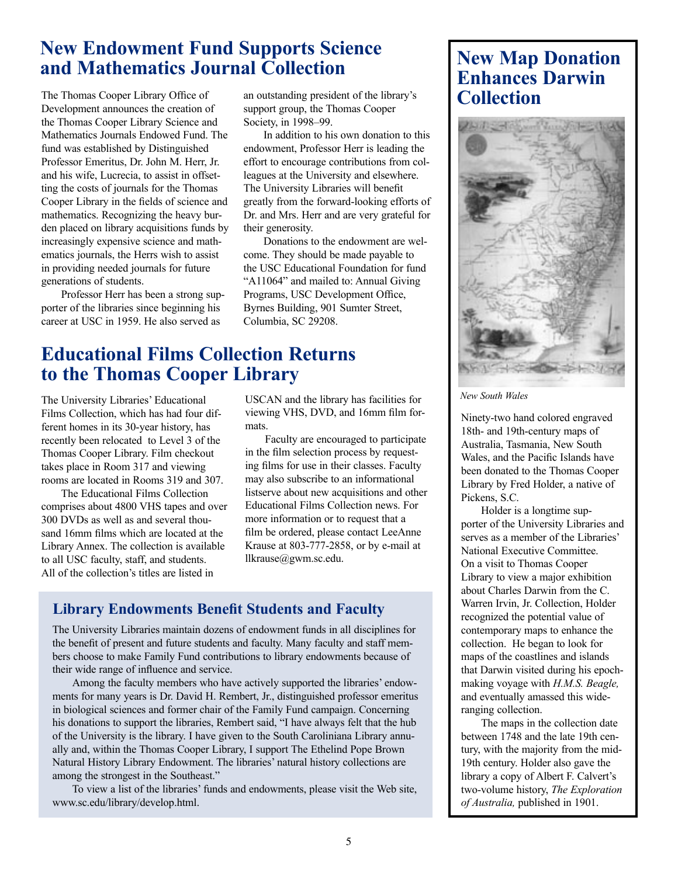# **New Endowment Fund Supports Science and Mathematics Journal Collection**

The Thomas Cooper Library Office of Development announces the creation of the Thomas Cooper Library Science and Mathematics Journals Endowed Fund. The fund was established by Distinguished Professor Emeritus, Dr. John M. Herr, Jr. and his wife, Lucrecia, to assist in offsetting the costs of journals for the Thomas Cooper Library in the fields of science and mathematics. Recognizing the heavy burden placed on library acquisitions funds by increasingly expensive science and mathematics journals, the Herrs wish to assist in providing needed journals for future generations of students.

Professor Herr has been a strong supporter of the libraries since beginning his career at USC in 1959. He also served as

an outstanding president of the library's support group, the Thomas Cooper Society, in 1998–99.

In addition to his own donation to this endowment, Professor Herr is leading the effort to encourage contributions from colleagues at the University and elsewhere. The University Libraries will benefit greatly from the forward-looking efforts of Dr. and Mrs. Herr and are very grateful for their generosity.

Donations to the endowment are welcome. They should be made payable to the USC Educational Foundation for fund "A11064" and mailed to: Annual Giving Programs, USC Development Office, Byrnes Building, 901 Sumter Street, Columbia, SC 29208.

## **Educational Films Collection Returns to the Thomas Cooper Library**

The University Libraries' Educational Films Collection, which has had four different homes in its 30-year history, has recently been relocated to Level 3 of the Thomas Cooper Library. Film checkout takes place in Room 317 and viewing rooms are located in Rooms 319 and 307.

The Educational Films Collection comprises about 4800 VHS tapes and over 300 DVDs as well as and several thousand 16mm films which are located at the Library Annex. The collection is available to all USC faculty, staff, and students. All of the collection's titles are listed in

USCAN and the library has facilities for viewing VHS, DVD, and 16mm film formats.

Faculty are encouraged to participate in the film selection process by requesting films for use in their classes. Faculty may also subscribe to an informational listserve about new acquisitions and other Educational Films Collection news. For more information or to request that a film be ordered, please contact LeeAnne Krause at 803-777-2858, or by e-mail at llkrause@gwm.sc.edu.

## **Library Endowments Benefit Students and Faculty**

The University Libraries maintain dozens of endowment funds in all disciplines for the benefit of present and future students and faculty. Many faculty and staff members choose to make Family Fund contributions to library endowments because of their wide range of influence and service.

Among the faculty members who have actively supported the libraries' endowments for many years is Dr. David H. Rembert, Jr., distinguished professor emeritus in biological sciences and former chair of the Family Fund campaign. Concerning his donations to support the libraries, Rembert said, "I have always felt that the hub of the University is the library. I have given to the South Caroliniana Library annually and, within the Thomas Cooper Library, I support The Ethelind Pope Brown Natural History Library Endowment. The libraries' natural history collections are among the strongest in the Southeast."

To view a list of the libraries' funds and endowments, please visit the Web site, www.sc.edu/library/develop.html.

# **New Map Donation Enhances Darwin Collection**



## *New South Wales*

Ninety-two hand colored engraved 18th- and 19th-century maps of Australia, Tasmania, New South Wales, and the Pacific Islands have been donated to the Thomas Cooper Library by Fred Holder, a native of Pickens, S.C.

Holder is a longtime supporter of the University Libraries and serves as a member of the Libraries' National Executive Committee. On a visit to Thomas Cooper Library to view a major exhibition about Charles Darwin from the C. Warren Irvin, Jr. Collection, Holder recognized the potential value of contemporary maps to enhance the collection. He began to look for maps of the coastlines and islands that Darwin visited during his epochmaking voyage with *H.M.S. Beagle,*  and eventually amassed this wideranging collection.

The maps in the collection date between 1748 and the late 19th century, with the majority from the mid-19th century. Holder also gave the library a copy of Albert F. Calvert's two-volume history, *The Exploration of Australia,* published in 1901.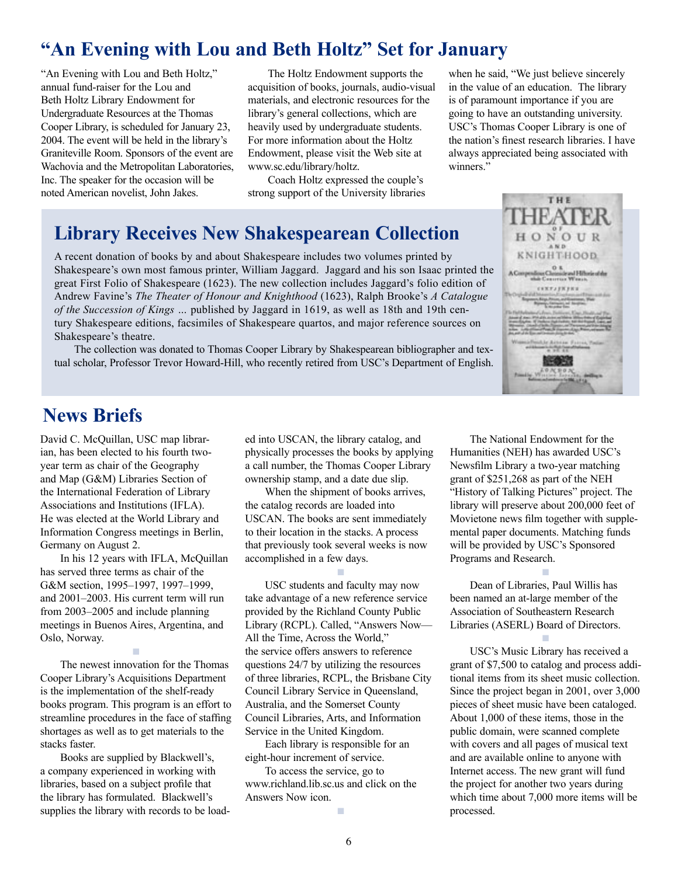# **"An Evening with Lou and Beth Holtz" Set for January**

"An Evening with Lou and Beth Holtz," annual fund-raiser for the Lou and Beth Holtz Library Endowment for Undergraduate Resources at the Thomas Cooper Library, is scheduled for January 23, 2004. The event will be held in the library's Graniteville Room. Sponsors of the event are Wachovia and the Metropolitan Laboratories, Inc. The speaker for the occasion will be noted American novelist, John Jakes.

The Holtz Endowment supports the acquisition of books, journals, audio-visual materials, and electronic resources for the library's general collections, which are heavily used by undergraduate students. For more information about the Holtz Endowment, please visit the Web site at www.sc.edu/library/holtz.

Coach Holtz expressed the couple's strong support of the University libraries

# **Library Receives New Shakespearean Collection**

A recent donation of books by and about Shakespeare includes two volumes printed by Shakespeare's own most famous printer, William Jaggard. Jaggard and his son Isaac printed the great First Folio of Shakespeare (1623). The new collection includes Jaggard's folio edition of Andrew Favine's *The Theater of Honour and Knighthood* (1623), Ralph Brooke's *A Catalogue of the Succession of Kings …* published by Jaggard in 1619, as well as 18th and 19th century Shakespeare editions, facsimiles of Shakespeare quartos, and major reference sources on Shakespeare's theatre.

The collection was donated to Thomas Cooper Library by Shakespearean bibliographer and textual scholar, Professor Trevor Howard-Hill, who recently retired from USC's Department of English.

when he said, "We just believe sincerely in the value of an education. The library is of paramount importance if you are going to have an outstanding university. USC's Thomas Cooper Library is one of the nation's finest research libraries. I have always appreciated being associated with winners."



## **News Briefs**

David C. McQuillan, USC map librarian, has been elected to his fourth twoyear term as chair of the Geography and Map (G&M) Libraries Section of the International Federation of Library Associations and Institutions (IFLA). He was elected at the World Library and Information Congress meetings in Berlin, Germany on August 2.

In his 12 years with IFLA, McQuillan has served three terms as chair of the G&M section, 1995–1997, 1997–1999, and 2001–2003. His current term will run from 2003–2005 and include planning meetings in Buenos Aires, Argentina, and Oslo, Norway.

The newest innovation for the Thomas Cooper Library's Acquisitions Department is the implementation of the shelf-ready books program. This program is an effort to streamline procedures in the face of staffing shortages as well as to get materials to the stacks faster.

■

Books are supplied by Blackwell's, a company experienced in working with libraries, based on a subject profile that the library has formulated. Blackwell's supplies the library with records to be loaded into USCAN, the library catalog, and physically processes the books by applying a call number, the Thomas Cooper Library ownership stamp, and a date due slip.

When the shipment of books arrives, the catalog records are loaded into USCAN. The books are sent immediately to their location in the stacks. A process that previously took several weeks is now accomplished in a few days.

■

USC students and faculty may now take advantage of a new reference service provided by the Richland County Public Library (RCPL). Called, "Answers Now— All the Time, Across the World," the service offers answers to reference questions 24/7 by utilizing the resources of three libraries, RCPL, the Brisbane City Council Library Service in Queensland, Australia, and the Somerset County Council Libraries, Arts, and Information Service in the United Kingdom.

Each library is responsible for an eight-hour increment of service.

To access the service, go to www.richland.lib.sc.us and click on the Answers Now icon.

The National Endowment for the Humanities (NEH) has awarded USC's Newsfilm Library a two-year matching grant of \$251,268 as part of the NEH "History of Talking Pictures" project. The library will preserve about 200,000 feet of Movietone news film together with supplemental paper documents. Matching funds will be provided by USC's Sponsored Programs and Research.

■

■

Dean of Libraries, Paul Willis has been named an at-large member of the Association of Southeastern Research Libraries (ASERL) Board of Directors.

USC's Music Library has received a grant of \$7,500 to catalog and process additional items from its sheet music collection. Since the project began in 2001, over 3,000 pieces of sheet music have been cataloged. About 1,000 of these items, those in the public domain, were scanned complete with covers and all pages of musical text and are available online to anyone with Internet access. The new grant will fund the project for another two years during which time about 7,000 more items will be processed.

■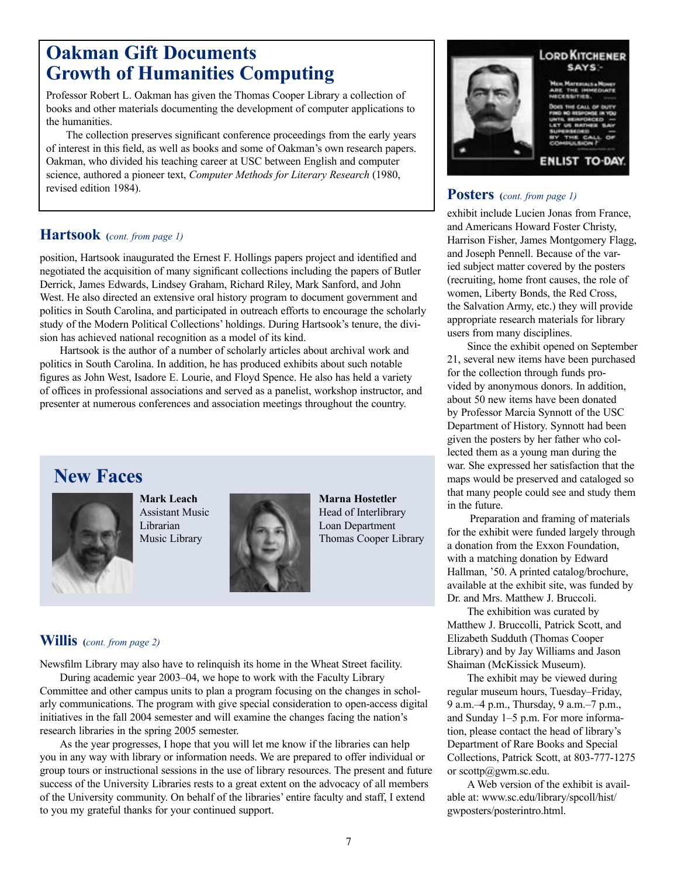# **Oakman Gift Documents Growth of Humanities Computing**

Professor Robert L. Oakman has given the Thomas Cooper Library a collection of books and other materials documenting the development of computer applications to the humanities.

The collection preserves significant conference proceedings from the early years of interest in this field, as well as books and some of Oakman's own research papers. Oakman, who divided his teaching career at USC between English and computer science, authored a pioneer text, *Computer Methods for Literary Research* (1980, revised edition 1984).

## **Hartsook (***cont. from page 1)*

position, Hartsook inaugurated the Ernest F. Hollings papers project and identified and negotiated the acquisition of many significant collections including the papers of Butler Derrick, James Edwards, Lindsey Graham, Richard Riley, Mark Sanford, and John West. He also directed an extensive oral history program to document government and politics in South Carolina, and participated in outreach efforts to encourage the scholarly study of the Modern Political Collections' holdings. During Hartsook's tenure, the division has achieved national recognition as a model of its kind.

Hartsook is the author of a number of scholarly articles about archival work and politics in South Carolina. In addition, he has produced exhibits about such notable figures as John West, Isadore E. Lourie, and Floyd Spence. He also has held a variety of offices in professional associations and served as a panelist, workshop instructor, and presenter at numerous conferences and association meetings throughout the country.

# **New Faces**



**Mark Leach**  Assistant Music Librarian Music Library



**Marna Hostetler**  Head of Interlibrary Loan Department Thomas Cooper Library

## **Willis (***cont. from page 2)*

Newsfilm Library may also have to relinquish its home in the Wheat Street facility.

During academic year 2003–04, we hope to work with the Faculty Library Committee and other campus units to plan a program focusing on the changes in scholarly communications. The program with give special consideration to open-access digital initiatives in the fall 2004 semester and will examine the changes facing the nation's research libraries in the spring 2005 semester.

As the year progresses, I hope that you will let me know if the libraries can help you in any way with library or information needs. We are prepared to offer individual or group tours or instructional sessions in the use of library resources. The present and future success of the University Libraries rests to a great extent on the advocacy of all members of the University community. On behalf of the libraries' entire faculty and staff, I extend to you my grateful thanks for your continued support.



ENLIST TO-DAY

## **Posters (***cont. from page 1)*

exhibit include Lucien Jonas from France, and Americans Howard Foster Christy, Harrison Fisher, James Montgomery Flagg, and Joseph Pennell. Because of the varied subject matter covered by the posters (recruiting, home front causes, the role of women, Liberty Bonds, the Red Cross, the Salvation Army, etc.) they will provide appropriate research materials for library users from many disciplines.

Since the exhibit opened on September 21, several new items have been purchased for the collection through funds provided by anonymous donors. In addition, about 50 new items have been donated by Professor Marcia Synnott of the USC Department of History. Synnott had been given the posters by her father who collected them as a young man during the war. She expressed her satisfaction that the maps would be preserved and cataloged so that many people could see and study them in the future.

 Preparation and framing of materials for the exhibit were funded largely through a donation from the Exxon Foundation, with a matching donation by Edward Hallman, '50. A printed catalog/brochure, available at the exhibit site, was funded by Dr. and Mrs. Matthew J. Bruccoli.

The exhibition was curated by Matthew J. Bruccolli, Patrick Scott, and Elizabeth Sudduth (Thomas Cooper Library) and by Jay Williams and Jason Shaiman (McKissick Museum).

The exhibit may be viewed during regular museum hours, Tuesday–Friday, 9 a.m.–4 p.m., Thursday, 9 a.m.–7 p.m., and Sunday 1–5 p.m. For more information, please contact the head of library's Department of Rare Books and Special Collections, Patrick Scott, at 803-777-1275 or scottp@gwm.sc.edu.

A Web version of the exhibit is available at: www.sc.edu/library/spcoll/hist/ gwposters/posterintro.html.